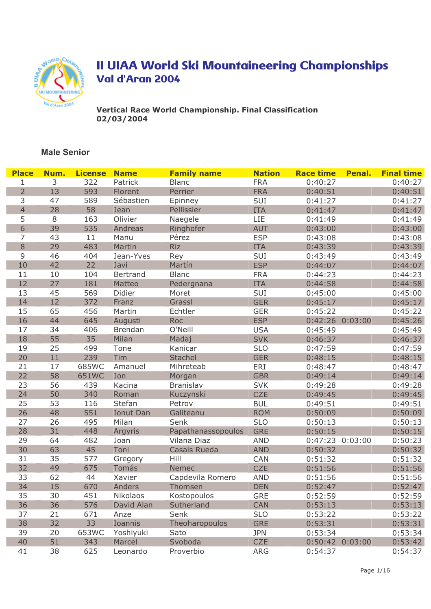

Vertical Race World Championship. Final Classification 02/03/2004

| <b>Place</b>   | Num.   | <b>License</b> | <b>Name</b>    | <b>Family name</b> | <b>Nation</b> | <b>Race time</b> | Penal.          | <b>Final time</b> |
|----------------|--------|----------------|----------------|--------------------|---------------|------------------|-----------------|-------------------|
| 1              | 3      | 322            | Patrick        | <b>Blanc</b>       | <b>FRA</b>    | 0:40:27          |                 | 0:40:27           |
| $\overline{2}$ | 13     | 593            | Florent        | Perrier            | <b>FRA</b>    | 0:40:51          |                 | 0:40:51           |
| 3              | 47     | 589            | Sébastien      | Epinney            | SUI           | 0:41:27          |                 | 0:41:27           |
| $\overline{4}$ | 28     | 58             | Jean           | Pellissier         | <b>ITA</b>    | 0:41:47          |                 | 0:41:47           |
| 5              | $\, 8$ | 163            | Olivier        | Naegele            | LIE           | 0:41:49          |                 | 0:41:49           |
| 6              | 39     | 535            | Andreas        | Ringhofer          | <b>AUT</b>    | 0:43:00          |                 | 0:43:00           |
| $\overline{7}$ | 43     | $11\,$         | Manu           | Pérez              | <b>ESP</b>    | 0:43:08          |                 | 0:43:08           |
| $\,8\,$        | 29     | 483            | Martin         | <b>Riz</b>         | <b>ITA</b>    | 0:43:39          |                 | 0:43:39           |
| 9              | 46     | 404            | Jean-Yves      | Rey                | SUI           | 0:43:49          |                 | 0:43:49           |
| 10             | 42     | 22             | Javi           | Martín             | <b>ESP</b>    | 0:44:07          |                 | 0:44:07           |
| 11             | 10     | 104            | Bertrand       | <b>Blanc</b>       | <b>FRA</b>    | 0:44:23          |                 | 0:44:23           |
| 12             | 27     | 181            | Matteo         | Pedergnana         | <b>ITA</b>    | 0:44:58          |                 | 0:44:58           |
| 13             | 45     | 569            | Didier         | Moret              | SUI           | 0:45:00          |                 | 0:45:00           |
| 14             | 12     | 372            | Franz          | Grassl             | <b>GER</b>    | 0:45:17          |                 | 0:45:17           |
| 15             | 65     | 456            | Martin         | Echtler            | <b>GER</b>    | 0:45:22          |                 | 0:45:22           |
| 16             | 44     | 645            | Augusti        | Roc                | <b>ESP</b>    |                  | 0:42:26 0:03:00 | 0:45:26           |
| 17             | 34     | 406            | <b>Brendan</b> | O'Neill            | <b>USA</b>    | 0:45:49          |                 | 0:45:49           |
| 18             | 55     | 35             | Milan          | Madaj              | <b>SVK</b>    | 0:46:37          |                 | 0:46:37           |
| 19             | 25     | 499            | Tone           | Kanicar            | <b>SLO</b>    | 0:47:59          |                 | 0:47:59           |
| 20             | 11     | 239            | Tim            | Stachel            | <b>GER</b>    | 0:48:15          |                 | 0:48:15           |
| 21             | 17     | 685WC          | Amanuel        | Mihreteab          | ERI           | 0:48:47          |                 | 0:48:47           |
| 22             | 58     | 651WC          | Jon            | Morgan             | <b>GBR</b>    | 0:49:14          |                 | 0:49:14           |
| 23             | 56     | 439            | Kacina         | Branislav          | <b>SVK</b>    | 0:49:28          |                 | 0:49:28           |
| 24             | 50     | 340            | Roman          | Kuczynski          | <b>CZE</b>    | 0:49:45          |                 | 0:49:45           |
| 25             | 53     | 116            | Stefan         | Petrov             | <b>BUL</b>    | 0:49:51          |                 | 0:49:51           |
| 26             | 48     | 551            | Ionut Dan      | Galiteanu          | <b>ROM</b>    | 0:50:09          |                 | 0:50:09           |
| 27             | 26     | 495            | Milan          | Senk               | <b>SLO</b>    | 0:50:13          |                 | 0:50:13           |
| 28             | 31     | 448            | Argyris        | Papathanassopoulos | <b>GRE</b>    | 0:50:15          |                 | 0:50:15           |
| 29             | 64     | 482            | Joan           | Vilana Diaz        | <b>AND</b>    |                  | 0:47:23 0:03:00 | 0:50:23           |
| 30             | 63     | 45             | Toni           | Casals Rueda       | <b>AND</b>    | 0:50:32          |                 | 0:50:32           |
| 31             | 35     | 577            | Gregory        | Hill               | CAN           | 0:51:32          |                 | 0:51:32           |
| 32             | 49     | 675            | Tomás          | <b>Nemec</b>       | <b>CZE</b>    | 0:51:56          |                 | 0:51:56           |
| 33             | 62     | 44             | Xavier         | Capdevila Romero   | <b>AND</b>    | 0:51:56          |                 | 0:51:56           |
| 34             | 15     | 670            | Anders         | Thomsen            | <b>DEN</b>    | 0:52:47          |                 | 0:52:47           |
| 35             | 30     | 451            | Nikolaos       | Kostopoulos        | <b>GRE</b>    | 0:52:59          |                 | 0:52:59           |
| 36             | 36     | 576            | David Alan     | Sutherland         | <b>CAN</b>    | 0:53:13          |                 | 0:53:13           |
| 37             | 21     | 671            | Anze           | Senk               | <b>SLO</b>    | 0:53:22          |                 | 0:53:22           |
| 38             | 32     | 33             | Ioannis        | Theoharopoulos     | <b>GRE</b>    | 0:53:31          |                 | 0:53:31           |
| 39             | 20     | 653WC          | Yoshiyuki      | Sato               | <b>JPN</b>    | 0:53:34          |                 | 0:53:34           |
| 40             | 51     | 343            | Marcel         | Svoboda            | <b>CZE</b>    |                  | 0:50:42 0:03:00 | 0:53:42           |
| 41             | 38     | 625            | Leonardo       | Proverbio          | <b>ARG</b>    | 0:54:37          |                 | 0:54:37           |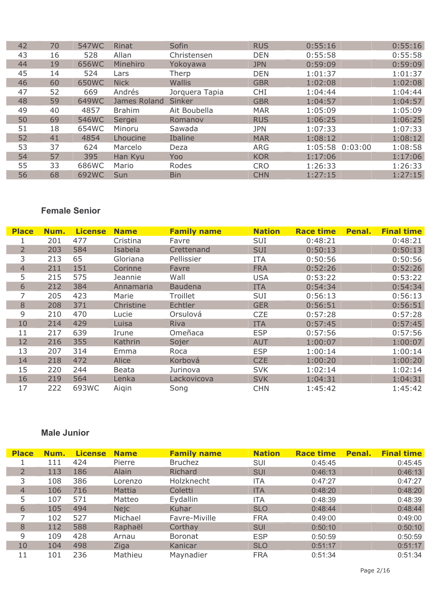| 42 | 70 | 547WC | Rinat         | Sofin          | <b>RUS</b> | 0:55:16            | 0:55:16 |
|----|----|-------|---------------|----------------|------------|--------------------|---------|
| 43 | 16 | 528   | Allan         | Christensen    | <b>DEN</b> | 0:55:58            | 0:55:58 |
| 44 | 19 | 656WC | Minehiro      | Yokoyawa       | <b>JPN</b> | 0:59:09            | 0:59:09 |
| 45 | 14 | 524   | Lars          | Therp          | <b>DEN</b> | 1:01:37            | 1:01:37 |
| 46 | 60 | 650WC | <b>Nick</b>   | <b>Wallis</b>  | <b>GBR</b> | 1:02:08            | 1:02:08 |
| 47 | 52 | 669   | Andrés        | Jorquera Tapia | <b>CHI</b> | 1:04:44            | 1:04:44 |
| 48 | 59 | 649WC | James Roland  | Sinker         | <b>GBR</b> | 1:04:57            | 1:04:57 |
| 49 | 40 | 4857  | <b>Brahim</b> | Ait Boubella   | <b>MAR</b> | 1:05:09            | 1:05:09 |
| 50 | 69 | 546WC | Sergei        | Romanov        | <b>RUS</b> | 1:06:25            | 1:06:25 |
| 51 | 18 | 654WC | Minoru        | Sawada         | <b>JPN</b> | 1:07:33            | 1:07:33 |
| 52 | 41 | 4854  | Lhoucine      | Ibaline        | <b>MAR</b> | 1:08:12            | 1:08:12 |
| 53 | 37 | 624   | Marcelo       | Deza           | <b>ARG</b> | 1:05:58<br>0:03:00 | 1:08:58 |
| 54 | 57 | 395   | Han Kyu       | Yoo            | <b>KOR</b> | 1:17:06            | 1:17:06 |
| 55 | 33 | 686WC | Mario         | Rodes          | <b>CRO</b> | 1:26:33            | 1:26:33 |
| 56 | 68 | 692WC | Sun           | <b>Bin</b>     | <b>CHN</b> | 1:27:15            | 1:27:15 |

| <b>Place</b>   | Num. | <b>License</b> | <b>Name</b> | <b>Family name</b> | <b>Nation</b> | <b>Race time</b> | Penal. | <b>Final time</b> |
|----------------|------|----------------|-------------|--------------------|---------------|------------------|--------|-------------------|
|                | 201  | 477            | Cristina    | Favre              | SUI           | 0:48:21          |        | 0:48:21           |
| $\overline{2}$ | 203  | 584            | Isabela     | Crettenand         | <b>SUI</b>    | 0:50:13          |        | 0:50:13           |
| 3              | 213  | 65             | Gloriana    | Pellissier         | <b>ITA</b>    | 0:50:56          |        | 0:50:56           |
| $\overline{4}$ | 211  | 151            | Corinne     | Favre              | <b>FRA</b>    | 0:52:26          |        | 0:52:26           |
| 5              | 215  | 575            | Jeannie     | Wall               | <b>USA</b>    | 0:53:22          |        | 0:53:22           |
| 6              | 212  | 384            | Annamaria   | <b>Baudena</b>     | <b>ITA</b>    | 0:54:34          |        | 0:54:34           |
| 7              | 205  | 423            | Marie       | Troillet           | SUI           | 0:56:13          |        | 0:56:13           |
| 8              | 208  | 371            | Christine   | <b>Echtler</b>     | <b>GER</b>    | 0:56:51          |        | 0:56:51           |
| 9              | 210  | 470            | Lucie       | Orsulová           | <b>CZE</b>    | 0:57:28          |        | 0:57:28           |
| 10             | 214  | 429            | Luisa       | Riva               | <b>ITA</b>    | 0:57:45          |        | 0:57:45           |
| 11             | 217  | 639            | Irune       | Omeñaca            | <b>ESP</b>    | 0:57:56          |        | 0:57:56           |
| 12             | 216  | 355            | Kathrin     | Sojer              | <b>AUT</b>    | 1:00:07          |        | 1:00:07           |
| 13             | 207  | 314            | Emma        | Roca               | <b>ESP</b>    | 1:00:14          |        | 1:00:14           |
| 14             | 218  | 472            | Alice       | Korbová            | <b>CZE</b>    | 1:00:20          |        | 1:00:20           |
| 15             | 220  | 244            | Beata       | Jurinova           | <b>SVK</b>    | 1:02:14          |        | 1:02:14           |
| 16             | 219  | 564            | Lenka       | Lackovicova        | <b>SVK</b>    | 1:04:31          |        | 1:04:31           |
| 17             | 222  | 693WC          | Aigin       | Song               | <b>CHN</b>    | 1:45:42          |        | 1:45:42           |

### **Male Junior**

| <b>Place</b>   | Num. | <b>License</b> | <b>Name</b> | <b>Family name</b> | <b>Nation</b> | <b>Race time</b> | Penal. | <b>Final time</b> |
|----------------|------|----------------|-------------|--------------------|---------------|------------------|--------|-------------------|
|                | 111  | 424            | Pierre      | <b>Bruchez</b>     | SUI           | 0:45:45          |        | 0:45:45           |
| $\overline{2}$ | 113  | 186            | Alain       | Richard            | <b>SUI</b>    | 0:46:13          |        | 0:46:13           |
| 3              | 108  | 386            | Lorenzo     | Holzknecht         | ITA           | 0:47:27          |        | 0:47:27           |
| $\overline{4}$ | 106  | 716            | Mattia      | Coletti            | <b>ITA</b>    | 0:48:20          |        | 0:48:20           |
|                | 107  | 571            | Matteo      | Eydallin           | <b>ITA</b>    | 0:48:39          |        | 0:48:39           |
| 6              | 105  | 494            | <b>Nejc</b> | Kuhar              | <b>SLO</b>    | 0:48:44          |        | 0:48:44           |
|                | 102  | 527            | Michael     | Favre-Miville      | <b>FRA</b>    | 0:49:00          |        | 0:49:00           |
| 8              | 112  | 588            | Raphaël     | Corthay            | <b>SUI</b>    | 0:50:10          |        | 0:50:10           |
| 9              | 109  | 428            | Arnau       | <b>Boronat</b>     | <b>ESP</b>    | 0:50:59          |        | 0:50:59           |
| 10             | 104  | 498            | Ziga        | Kanicar            | <b>SLO</b>    | 0:51:17          |        | 0:51:17           |
| 11             | 101  | 236            | Mathieu     | Maynadier          | <b>FRA</b>    | 0:51:34          |        | 0:51:34           |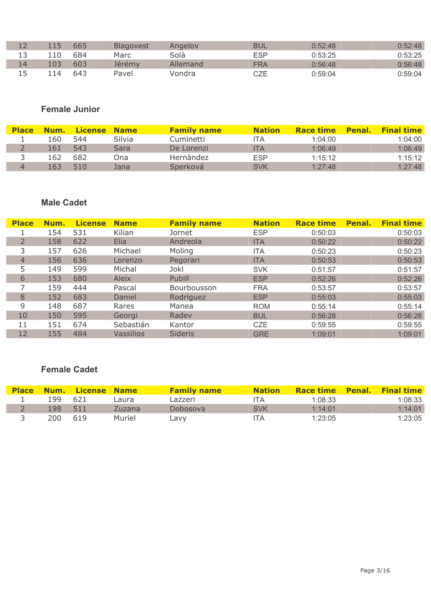|     |     | 665 | <b>Blagovest</b> | Angelov  | BUL | 0:52:48 | $0.52 - 48$ |
|-----|-----|-----|------------------|----------|-----|---------|-------------|
|     | 10  | 684 | Marc             | Solà     | ESP | 0:53:25 | 0:53:25     |
| 14  | .03 | 603 | Jérémy           | Allemand | FRA | 0:56:48 | 0:56:48     |
| 1 5 | 14  | 643 | Pavel            | Vondra   | CZE | 0:59:04 | 0:59:04     |

## **Female Junior**

| <b>Place</b> | Num. | License Name |        | <b>Family name</b> | <b>Nation</b> | <b>Race time</b> | <b>Penal.</b> | <b>Final time</b> |
|--------------|------|--------------|--------|--------------------|---------------|------------------|---------------|-------------------|
|              | L60  | 544          | Silvia | Cuminetti          | TА            | 1:04:00          |               | 1:04:00           |
|              | 161  | 543          | Sara   | De Lorenzi         | ITA           | 1:06:49          |               | 1:06:49           |
|              | 162  | 682          | Ona    | Hernàndez          | <b>ESP</b>    | 1:15:12          |               | 1:15:12           |
|              | 163  | 510          | Jana   | Sperková           | SVK           | 1:27:48          |               | 1:27:48           |

### **Male Cadet**

| <b>Place</b> | Num. | <b>License</b> | <b>Name</b>      | <b>Family name</b> | <b>Nation</b> | <b>Race time</b> | Penal. | <b>Final time</b> |
|--------------|------|----------------|------------------|--------------------|---------------|------------------|--------|-------------------|
|              | 154  | 531            | Kilian           | Jornet             | <b>ESP</b>    | 0:50:03          |        | 0:50:03           |
| 2            | 158  | 622            | Elia             | Andreola           | <b>ITA</b>    | 0:50:22          |        | 0:50:22           |
| 3            | 157  | 626            | Michael          | Moling             | ITA           | 0:50:23          |        | 0:50:23           |
| 4            | 156  | 636            | Lorenzo          | Pegorari           | <b>ITA</b>    | 0:50:53          |        | 0:50:53           |
| 5            | 149  | 599            | Michal           | Jokl               | <b>SVK</b>    | 0:51:57          |        | 0:51:57           |
| 6            | 153  | 680            | <b>Aleix</b>     | Pubill             | <b>ESP</b>    | 0:52:26          |        | 0:52:26           |
|              | 159  | 444            | Pascal           | Bourbousson        | <b>FRA</b>    | 0:53:57          |        | 0:53:57           |
| 8            | 152  | 683            | Daniel           | Rodríguez          | <b>ESP</b>    | 0:55:03          |        | 0:55:03           |
| 9            | 148  | 687            | Rares            | Manea              | <b>ROM</b>    | 0:55:14          |        | 0:55:14           |
| 10           | 150  | 595            | Georgi           | Radev              | <b>BUL</b>    | 0:56:28          |        | 0:56:28           |
| 11           | 151  | 674            | Sebastián        | Kantor             | <b>CZE</b>    | 0:59:55          |        | 0:59:55           |
| 12           | 155  | 484            | <b>Vassilios</b> | <b>Sideris</b>     | <b>GRE</b>    | 1:09:01          |        | 1:09:01           |

### **Female Cadet**

| <b>Place</b> |     | <b>Num. License Name</b> |        | <b>Family name</b> | <b>Nation</b> |         | <b>Race time Penal. Final time</b> |
|--------------|-----|--------------------------|--------|--------------------|---------------|---------|------------------------------------|
|              | 199 | -621                     | Laura  | Lazzeri            | ITA           | 1:08:33 | 1:08:33                            |
|              | 198 | 511                      | Zuzana | Dobosova           | <b>SVK</b>    | 1:14:01 | 1:14:01                            |
|              | 200 | 619                      | Muriel | ∟avv               | I I A         | 1:23:05 | 1:23:05                            |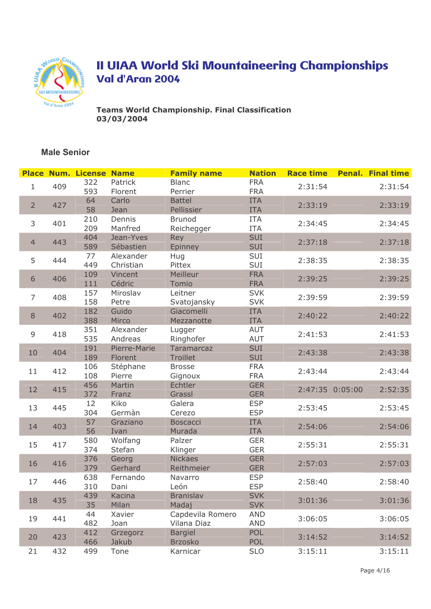

**Teams World Championship. Final Classification** 03/03/2004

|                |     | <b>Place Num. License Name</b> |                         | <b>Family name</b>               | <b>Nation</b>            | <b>Race time</b> |                 | <b>Penal. Final time</b> |
|----------------|-----|--------------------------------|-------------------------|----------------------------------|--------------------------|------------------|-----------------|--------------------------|
| $\mathbf{1}$   | 409 | 322<br>593                     | Patrick<br>Florent      | <b>Blanc</b><br>Perrier          | <b>FRA</b><br><b>FRA</b> | 2:31:54          |                 | 2:31:54                  |
| $\overline{2}$ | 427 | 64<br>58                       | Carlo<br>Jean           | <b>Battel</b><br>Pellissier      | <b>ITA</b><br><b>ITA</b> | 2:33:19          |                 | 2:33:19                  |
| 3              | 401 | 210<br>209                     | Dennis<br>Manfred       | <b>Brunod</b><br>Reichegger      | <b>ITA</b><br><b>ITA</b> | 2:34:45          |                 | 2:34:45                  |
| $\overline{4}$ | 443 | 404<br>589                     | Jean-Yves<br>Sébastien  | Rey<br>Epinney                   | SUI<br>SUI               | 2:37:18          |                 | 2:37:18                  |
| 5              | 444 | 77<br>449                      | Alexander<br>Christian  | Hug<br>Pittex                    | SUI<br>SUI               | 2:38:35          |                 | 2:38:35                  |
| $6\,$          | 406 | 109<br>111                     | Vincent<br>Cédric       | Meilleur<br>Tomio                | <b>FRA</b><br><b>FRA</b> | 2:39:25          |                 | 2:39:25                  |
| 7              | 408 | 157<br>158                     | Miroslav<br>Petre       | Leitner<br>Svatojansky           | <b>SVK</b><br><b>SVK</b> | 2:39:59          |                 | 2:39:59                  |
| $\,8\,$        | 402 | 182<br>388                     | Guido<br>Mirco          | Giacomelli<br>Mezzanotte         | <b>ITA</b><br><b>ITA</b> | 2:40:22          |                 | 2:40:22                  |
| 9              | 418 | 351<br>535                     | Alexander<br>Andreas    | Lugger<br>Ringhofer              | AUT<br><b>AUT</b>        | 2:41:53          |                 | 2:41:53                  |
| 10             | 404 | 191<br>189                     | Pierre-Marie<br>Florent | Taramarcaz<br>Troillet           | SUI<br>SUI               | 2:43:38          |                 | 2:43:38                  |
| 11             | 412 | 106<br>108                     | Stéphane<br>Pierre      | <b>Brosse</b><br>Gignoux         | <b>FRA</b><br><b>FRA</b> | 2:43:44          |                 | 2:43:44                  |
| 12             | 415 | 456<br>372                     | Martin<br>Franz         | Echtler<br>Grassl                | <b>GER</b><br><b>GER</b> |                  | 2:47:35 0:05:00 | 2:52:35                  |
| 13             | 445 | 12<br>304                      | Kiko<br>Germàn          | Galera<br>Cerezo                 | <b>ESP</b><br><b>ESP</b> | 2:53:45          |                 | 2:53:45                  |
| 14             | 403 | 57<br>56                       | Graziano<br>Ivan        | <b>Boscacci</b><br>Murada        | <b>ITA</b><br><b>ITA</b> | 2:54:06          |                 | 2:54:06                  |
| 15             | 417 | 580<br>374                     | Wolfang<br>Stefan       | Palzer<br>Klinger                | <b>GER</b><br><b>GER</b> | 2:55:31          |                 | 2:55:31                  |
| 16             | 416 | 376<br>379                     | Georg<br>Gerhard        | <b>Nickaes</b><br>Reithmeier     | <b>GER</b><br><b>GER</b> | 2:57:03          |                 | 2:57:03                  |
| 17             | 446 | 638<br>310                     | Fernando<br>Dani        | Navarro<br>León                  | <b>ESP</b><br><b>ESP</b> | 2:58:40          |                 | 2:58:40                  |
| 18             | 435 | 439<br>35                      | Kacina<br>Milan         | <b>Branislav</b><br>Madaj        | <b>SVK</b><br><b>SVK</b> | 3:01:36          |                 | 3:01:36                  |
| 19             | 441 | 44<br>482                      | Xavier<br>Joan          | Capdevila Romero<br>Vilana Diaz  | <b>AND</b><br><b>AND</b> | 3:06:05          |                 | 3:06:05                  |
| 20             | 423 | 412<br>466                     | Grzegorz<br>Jakub       | <b>Bargiel</b><br><b>Brzosko</b> | POL<br>POL               | 3:14:52          |                 | 3:14:52                  |
| 21             | 432 | 499                            | Tone                    | Karnicar                         | <b>SLO</b>               | 3:15:11          |                 | 3:15:11                  |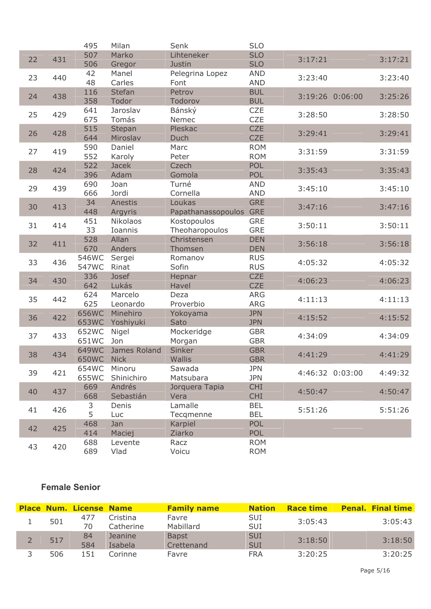|    |     | 495            | Milan                 | Senk                          | <b>SLO</b>               |         |                 |         |
|----|-----|----------------|-----------------------|-------------------------------|--------------------------|---------|-----------------|---------|
| 22 | 431 | 507            | Marko                 | Lihteneker                    | <b>SLO</b>               | 3:17:21 |                 | 3:17:21 |
|    |     | 506            | Gregor                | Justin                        | <b>SLO</b>               |         |                 |         |
| 23 | 440 | 42             | Manel                 | Pelegrina Lopez               | <b>AND</b>               | 3:23:40 |                 | 3:23:40 |
|    |     | 48             | Carles                | Font                          | <b>AND</b>               |         |                 |         |
| 24 | 438 | 116            | <b>Stefan</b>         | Petrov                        | <b>BUL</b>               |         | 3:19:26 0:06:00 | 3:25:26 |
|    |     | 358<br>641     | Todor<br>Jaroslav     | Todorov                       | <b>BUL</b><br><b>CZE</b> |         |                 |         |
| 25 | 429 | 675            | Tomás                 | Bánský<br>Nemec               | <b>CZE</b>               | 3:28:50 |                 | 3:28:50 |
|    |     | 515            | Stepan                | Pleskac                       | <b>CZE</b>               |         |                 |         |
| 26 | 428 | 644            | Miroslav              | Duch                          | <b>CZE</b>               | 3:29:41 |                 | 3:29:41 |
|    |     | 590            | Daniel                | Marc                          | <b>ROM</b>               |         |                 |         |
| 27 | 419 | 552            | Karoly                | Peter                         | <b>ROM</b>               | 3:31:59 |                 | 3:31:59 |
| 28 | 424 | 522            | <b>Jacek</b>          | Czech                         | POL                      | 3:35:43 |                 | 3:35:43 |
|    |     | 396            | Adam                  | Gomola                        | <b>POL</b>               |         |                 |         |
| 29 | 439 | 690            | Joan                  | Turné                         | <b>AND</b>               | 3:45:10 |                 | 3:45:10 |
|    |     | 666            | Jordi                 | Cornella                      | <b>AND</b>               |         |                 |         |
| 30 | 413 | 34             | Anestis               | Loukas                        | <b>GRE</b>               | 3:47:16 |                 | 3:47:16 |
|    |     | 448            | Argyris               | Papathanassopoulos GRE        |                          |         |                 |         |
| 31 | 414 | 451            | Nikolaos              | Kostopoulos                   | <b>GRE</b>               | 3:50:11 |                 | 3:50:11 |
|    |     | 33<br>528      | Ioannis<br>Allan      | Theoharopoulos<br>Christensen | <b>GRE</b><br><b>DEN</b> |         |                 |         |
| 32 | 411 | 670            | Anders                | Thomsen                       | <b>DEN</b>               | 3:56:18 |                 | 3:56:18 |
|    |     | 546WC          | Sergei                | Romanov                       | <b>RUS</b>               |         |                 |         |
| 33 | 436 | 547WC          | Rinat                 | Sofin                         | <b>RUS</b>               | 4:05:32 |                 | 4:05:32 |
|    |     | 336            | Josef                 | Hepnar                        | <b>CZE</b>               |         |                 |         |
| 34 | 430 | 642            | Lukás                 | Havel                         | <b>CZE</b>               | 4:06:23 |                 | 4:06:23 |
| 35 | 442 | 624            | Marcelo               | Deza                          | <b>ARG</b>               | 4:11:13 |                 | 4:11:13 |
|    |     | 625            | Leonardo              | Proverbio                     | <b>ARG</b>               |         |                 |         |
| 36 | 422 | 656WC          | Minehiro              | Yokoyama                      | <b>JPN</b>               | 4:15:52 |                 | 4:15:52 |
|    |     | 653WC          | Yoshiyuki             | Sato                          | <b>JPN</b>               |         |                 |         |
| 37 | 433 | 652WC          | Nigel                 | Mockeridge                    | <b>GBR</b>               | 4:34:09 |                 | 4:34:09 |
|    |     | 651WC          | Jon                   | Morgan                        | <b>GBR</b>               |         |                 |         |
| 38 | 434 | 649WC<br>650WC | James Roland          | Sinker                        | <b>GBR</b>               | 4:41:29 |                 | 4:41:29 |
|    |     | 654WC          | <b>Nick</b><br>Minoru | Wallis<br>Sawada              | <b>GBR</b><br><b>JPN</b> |         |                 |         |
| 39 | 421 | 655WC          | Shinichiro            | Matsubara                     | <b>JPN</b>               |         | 4:46:32 0:03:00 | 4:49:32 |
|    |     | 669            | Andrés                | Jorquera Tapia                | <b>CHI</b>               |         |                 |         |
| 40 | 437 | 668            | Sebastián             | Vera                          | <b>CHI</b>               | 4:50:47 |                 | 4:50:47 |
|    |     | 3              | Denis                 | Lamalle                       | <b>BEL</b>               |         |                 |         |
| 41 | 426 | 5              | Luc                   | Tecqmenne                     | <b>BEL</b>               | 5:51:26 |                 | 5:51:26 |
| 42 |     | 468            | Jan                   | Karpiel                       | POL                      |         |                 |         |
|    | 425 | 414            | Maciej                | Ziarko                        | <b>POL</b>               |         |                 |         |
| 43 | 420 | 688            | Levente               | Racz                          | <b>ROM</b>               |         |                 |         |
|    |     | 689            | Vlad                  | Voicu                         | <b>ROM</b>               |         |                 |         |

|  |     | <b>Place Num. License Name</b> |           | <b>Family name</b> | <b>Nation</b> | <b>Race time</b> | <b>Penal. Final time</b> |
|--|-----|--------------------------------|-----------|--------------------|---------------|------------------|--------------------------|
|  | 501 | 477                            | Cristina  | Favre              | SUI           | 3:05:43          | 3:05:43                  |
|  |     | 70                             | Catherine | Mabillard          | <b>SUI</b>    |                  |                          |
|  | 517 | 84                             | Jeanine   | <b>Bapst</b>       | <b>SUI</b>    | 3:18:50          | 3:18:50                  |
|  |     | 584                            | Isabela   | Crettenand         | <b>SUI</b>    |                  |                          |
|  | 506 | 151                            | Corinne   | Favre              | <b>FRA</b>    | 3:20:25          | 3:20:25                  |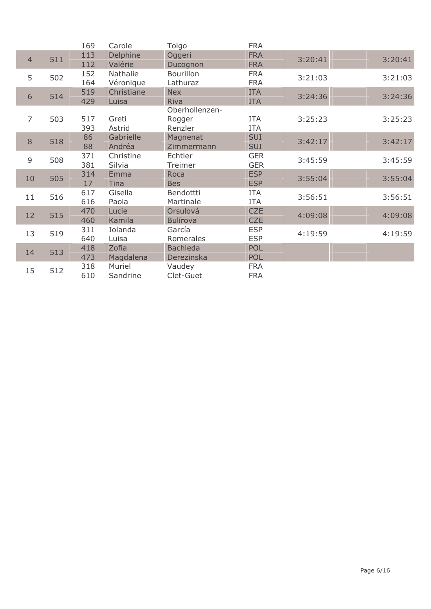|                |     | 169        | Carole         | Toigo                  | <b>FRA</b>        |         |         |
|----------------|-----|------------|----------------|------------------------|-------------------|---------|---------|
| $\overline{4}$ | 511 | 113        | Delphine       | Oggeri                 | <b>FRA</b>        | 3:20:41 | 3:20:41 |
|                |     | 112        | Valérie        | Ducognon               | <b>FRA</b>        |         |         |
| 5              | 502 | 152        | Nathalie       | <b>Bourillon</b>       | <b>FRA</b>        | 3:21:03 | 3:21:03 |
|                |     | 164        | Véronique      | Lathuraz               | <b>FRA</b>        |         |         |
| 6              | 514 | 519        | Christiane     | <b>Nex</b>             | <b>ITA</b>        | 3:24:36 | 3:24:36 |
|                |     | 429        | Luisa          | Riva                   | <b>ITA</b>        |         |         |
|                |     |            |                | Oberhollenzen-         |                   |         |         |
| $\overline{7}$ | 503 | 517        | Greti          | Rogger                 | <b>ITA</b>        | 3:25:23 | 3:25:23 |
|                |     | 393        | Astrid         | Renzler                | <b>ITA</b>        |         |         |
| 8              | 518 | 86         | Gabrielle      | Magnenat               | <b>SUI</b>        | 3:42:17 | 3:42:17 |
|                |     | 88         | Andréa         | Zimmermann             | <b>SUI</b>        |         |         |
| 9              | 508 | 371        | Christine      | Echtler                | <b>GER</b>        | 3:45:59 | 3:45:59 |
|                |     | 381        | Silvia         | Treimer                | <b>GER</b>        |         |         |
| 10             | 505 | 314        | Emma           | Roca                   | <b>ESP</b>        | 3:55:04 | 3:55:04 |
|                |     | 17         | <b>Tina</b>    | <b>Bes</b>             | <b>ESP</b>        |         |         |
| 11             | 516 | 617<br>616 | Gisella        | Bendottti<br>Martinale | <b>ITA</b>        | 3:56:51 | 3:56:51 |
|                |     | 470        | Paola<br>Lucie | Orsulová               | ITA<br><b>CZE</b> |         |         |
| 12             | 515 | 460        | Kamila         | <b>Bulírova</b>        | <b>CZE</b>        | 4:09:08 | 4:09:08 |
|                |     | 311        | Iolanda        | García                 | <b>ESP</b>        |         |         |
| 13             | 519 | 640        | Luisa          | Romerales              | <b>ESP</b>        | 4:19:59 | 4:19:59 |
|                |     | 418        | Zofia          | <b>Bachleda</b>        | POL               |         |         |
| 14             | 513 | 473        | Magdalena      | Derezinska             | POL               |         |         |
|                |     | 318        | Muriel         | Vaudey                 | <b>FRA</b>        |         |         |
| 15             | 512 | 610        | Sandrine       | Clet-Guet              | <b>FRA</b>        |         |         |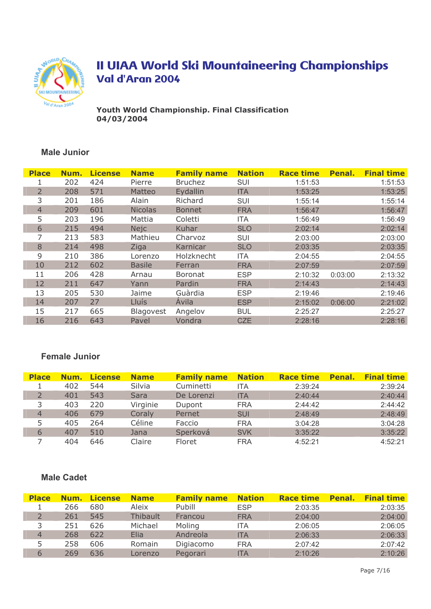

Youth World Championship. Final Classification 04/03/2004

### **Male Junior**

| <b>Place</b>   | Num. | <b>License</b> | <b>Name</b>      | <b>Family name</b> | <b>Nation</b> | <b>Race time</b> | Penal.  | <b>Final time</b> |
|----------------|------|----------------|------------------|--------------------|---------------|------------------|---------|-------------------|
|                | 202  | 424            | Pierre           | <b>Bruchez</b>     | SUI           | 1:51:53          |         | 1:51:53           |
| $\overline{2}$ | 208  | 571            | Matteo           | Eydallin           | <b>ITA</b>    | 1:53:25          |         | 1:53:25           |
| 3              | 201  | 186            | Alain            | Richard            | <b>SUI</b>    | 1:55:14          |         | 1:55:14           |
| $\overline{4}$ | 209  | 601            | <b>Nicolas</b>   | <b>Bonnet</b>      | <b>FRA</b>    | 1:56:47          |         | 1:56:47           |
| 5              | 203  | 196            | Mattia           | Coletti            | <b>ITA</b>    | 1:56:49          |         | 1:56:49           |
| 6              | 215  | 494            | <b>Nejc</b>      | Kuhar              | <b>SLO</b>    | 2:02:14          |         | 2:02:14           |
| 7              | 213  | 583            | Mathieu          | Charvoz            | SUI           | 2:03:00          |         | 2:03:00           |
| 8              | 214  | 498            | Ziga             | Karnicar           | <b>SLO</b>    | 2:03:35          |         | 2:03:35           |
| 9              | 210  | 386            | Lorenzo          | Holzknecht         | <b>ITA</b>    | 2:04:55          |         | 2:04:55           |
| 10             | 212  | 602            | <b>Basile</b>    | Ferran             | <b>FRA</b>    | 2:07:59          |         | 2:07:59           |
| 11             | 206  | 428            | Arnau            | <b>Boronat</b>     | <b>ESP</b>    | 2:10:32          | 0:03:00 | 2:13:32           |
| 12             | 211  | 647            | Yann             | Pardin             | <b>FRA</b>    | 2:14:43          |         | 2:14:43           |
| 13             | 205  | 530            | Jaime            | Guàrdia            | <b>ESP</b>    | 2:19:46          |         | 2:19:46           |
| 14             | 207  | 27             | <b>Lluís</b>     | <b>Avila</b>       | <b>ESP</b>    | 2:15:02          | 0:06:00 | 2:21:02           |
| 15             | 217  | 665            | <b>Blagovest</b> | Angelov            | <b>BUL</b>    | 2:25:27          |         | 2:25:27           |
| 16             | 216  | 643            | Pavel            | Vondra             | <b>CZE</b>    | 2:28:16          |         | 2:28:16           |

### **Female Junior**

| <b>Place</b> | Num. | <b>License</b> | <b>Name</b> | <b>Family name</b> | <b>Nation</b> | <b>Race time</b> | Penal. | <b>Final time</b> |
|--------------|------|----------------|-------------|--------------------|---------------|------------------|--------|-------------------|
|              | 402  | 544            | Silvia      | Cuminetti          | <b>ITA</b>    | 2:39:24          |        | 2:39:24           |
|              | 401  | 543            | <b>Sara</b> | De Lorenzi         | <b>ITA</b>    | 2:40:44          |        | 2:40:44           |
| 3            | 403  | 220            | Virginie    | Dupont             | <b>FRA</b>    | 2:44:42          |        | 2:44:42           |
| 4            | 406  | 679            | Coraly      | Pernet             | <b>SUI</b>    | 2:48:49          |        | 2:48:49           |
| 5.           | 405  | 264            | Céline      | Faccio             | <b>FRA</b>    | 3:04:28          |        | 3:04:28           |
| 6            | 407  | 510            | Jana        | Sperková           | <b>SVK</b>    | 3:35:22          |        | 3:35:22           |
|              | 404  | 646            | Claire      | Floret             | <b>FRA</b>    | 4:52:21          |        | 4:52:21           |

#### **Male Cadet**

| <b>Place</b> | Num. | <b>License</b> | <b>Name</b> | <b>Family name</b> | <b>Nation</b> | <b>Race time</b> | Penal. | <b>Final time</b> |
|--------------|------|----------------|-------------|--------------------|---------------|------------------|--------|-------------------|
|              | 266  | 680            | Aleix       | Pubill             | <b>ESP</b>    | 2:03:35          |        | 2:03:35           |
|              | 261  | 545            | Thibault    | Francou            | <b>FRA</b>    | 2:04:00          |        | 2:04:00           |
|              | 251  | 626            | Michael     | Moling             | <b>ITA</b>    | 2:06:05          |        | 2:06:05           |
| 4            | 268  | 622            | Elia        | Andreola           | <b>ITA</b>    | 2:06:33          |        | 2:06:33           |
|              | 258  | 606            | Romain      | Digiacomo          | <b>FRA</b>    | 2:07:42          |        | 2:07:42           |
| 6            | 269  | 636            | Lorenzo     | Pegorari           | <b>ITA</b>    | 2:10:26          |        | 2:10:26           |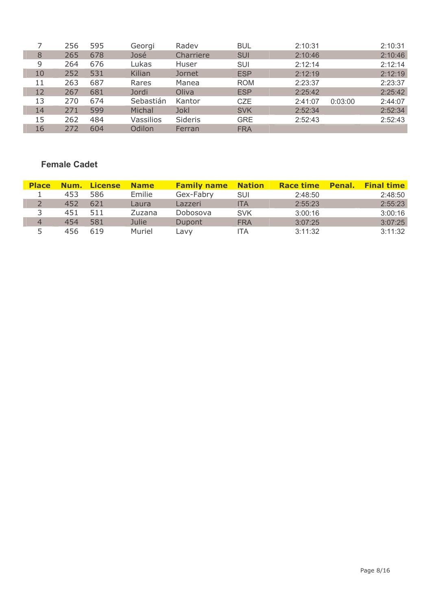|    | 256 | 595 | Georgi    | Radev       | <b>BUL</b> | 2:10:31 |         | 2:10:31 |
|----|-----|-----|-----------|-------------|------------|---------|---------|---------|
| 8  | 265 | 678 | José      | Charriere   | <b>SUI</b> | 2:10:46 |         | 2:10:46 |
| 9  | 264 | 676 | Lukas     | Huser       | SUI        | 2:12:14 |         | 2:12:14 |
| 10 | 252 | 531 | Kilian    | Jornet      | <b>ESP</b> | 2:12:19 |         | 2:12:19 |
| 11 | 263 | 687 | Rares     | Manea       | <b>ROM</b> | 2:23:37 |         | 2:23:37 |
| 12 | 267 | 681 | Jordi     | Oliva       | <b>ESP</b> | 2:25:42 |         | 2:25:42 |
| 13 | 270 | 674 | Sebastián | Kantor      | <b>CZE</b> | 2:41:07 | 0:03:00 | 2:44:07 |
| 14 | 271 | 599 | Michal    | <b>Jokl</b> | <b>SVK</b> | 2:52:34 |         | 2:52:34 |
| 15 | 262 | 484 | Vassilios | Sideris     | <b>GRE</b> | 2:52:43 |         | 2:52:43 |
| 16 | 272 | 604 | Odilon    | Ferran      | <b>FRA</b> |         |         |         |

### **Female Cadet**

| <b>Place</b> |     | <b>Num.</b> License | <b>Name</b> | <b>Family name Nation</b> |            | <b>Race time</b> | <b>Penal.</b> | <b>Final time</b> |
|--------------|-----|---------------------|-------------|---------------------------|------------|------------------|---------------|-------------------|
|              | 453 | 586                 | Emilie      | Gex-Fabry                 | <b>SUI</b> | 2:48:50          |               | 2:48:50           |
|              | 452 | 621                 | Laura       | Lazzeri                   | <b>ITA</b> | 2:55:23          |               | 2:55:23           |
|              | 451 | 511                 | Zuzana      | Dobosova                  | <b>SVK</b> | 3:00:16          |               | 3:00:16           |
| 4            | 454 | 581                 | Julie       | Dupont                    | <b>FRA</b> | 3:07:25          |               | 3:07:25           |
|              | 456 | 619                 | Muriel      | Lavv                      | ITA        | 3:11:32          |               | 3:11:32           |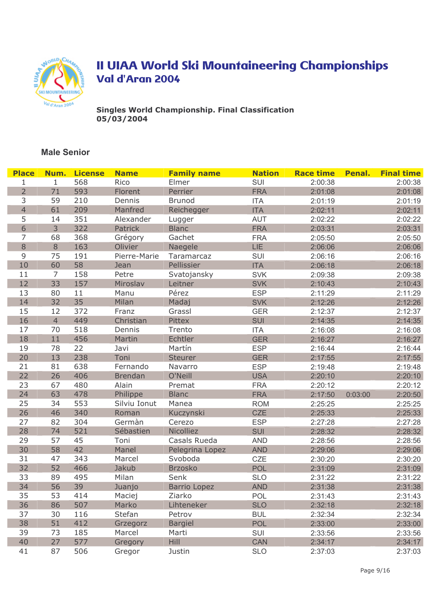

Singles World Championship. Final Classification<br>05/03/2004

| <b>Place</b>   | Num.           | <b>License</b> | <b>Name</b>    | <b>Family name</b>  | <b>Nation</b> | <b>Race time</b> | Penal.  | <b>Final time</b> |
|----------------|----------------|----------------|----------------|---------------------|---------------|------------------|---------|-------------------|
| 1              | $\mathbf{1}$   | 568            | Rico           | Elmer               | SUI           | 2:00:38          |         | 2:00:38           |
| $\overline{2}$ | 71             | 593            | Florent        | Perrier             | <b>FRA</b>    | 2:01:08          |         | 2:01:08           |
| 3              | 59             | 210            | Dennis         | <b>Brunod</b>       | <b>ITA</b>    | 2:01:19          |         | 2:01:19           |
| $\overline{4}$ | 61             | 209            | Manfred        | Reichegger          | <b>ITA</b>    | 2:02:11          |         | 2:02:11           |
| 5              | 14             | 351            | Alexander      | Lugger              | <b>AUT</b>    | 2:02:22          |         | 2:02:22           |
| 6              | 3              | 322            | Patrick        | <b>Blanc</b>        | <b>FRA</b>    | 2:03:31          |         | 2:03:31           |
| 7              | 68             | 368            | Grégory        | Gachet              | <b>FRA</b>    | 2:05:50          |         | 2:05:50           |
| $\,8\,$        | 8              | 163            | Olivier        | Naegele             | LIE           | 2:06:06          |         | 2:06:06           |
| $\mathsf 9$    | 75             | 191            | Pierre-Marie   | Taramarcaz          | SUI           | 2:06:16          |         | 2:06:16           |
| 10             | 60             | 58             | Jean           | Pellissier          | <b>ITA</b>    | 2:06:18          |         | 2:06:18           |
| 11             | $\overline{7}$ | 158            | Petre          | Svatojansky         | <b>SVK</b>    | 2:09:38          |         | 2:09:38           |
| 12             | 33             | 157            | Miroslav       | Leitner             | <b>SVK</b>    | 2:10:43          |         | 2:10:43           |
| 13             | 80             | 11             | Manu           | Pérez               | <b>ESP</b>    | 2:11:29          |         | 2:11:29           |
| 14             | 32             | 35             | Milan          | Madaj               | <b>SVK</b>    | 2:12:26          |         | 2:12:26           |
| 15             | 12             | 372            | Franz          | Grassl              | <b>GER</b>    | 2:12:37          |         | 2:12:37           |
| 16             | $\overline{4}$ | 449            | Christian      | Pittex              | <b>SUI</b>    | 2:14:35          |         | 2:14:35           |
| 17             | 70             | 518            | Dennis         | Trento              | <b>ITA</b>    | 2:16:08          |         | 2:16:08           |
| 18             | 11             | 456            | Martin         | Echtler             | <b>GER</b>    | 2:16:27          |         | 2:16:27           |
| 19             | 78             | 22             | Javi           | Martín              | <b>ESP</b>    | 2:16:44          |         | 2:16:44           |
| 20             | 13             | 238            | Toni           | <b>Steurer</b>      | <b>GER</b>    | 2:17:55          |         | 2:17:55           |
| 21             | 81             | 638            | Fernando       | Navarro             | <b>ESP</b>    | 2:19:48          |         | 2:19:48           |
| 22             | 26             | 406            | <b>Brendan</b> | O'Neill             | <b>USA</b>    | 2:20:10          |         | 2:20:10           |
| 23             | 67             | 480            | Alain          | Premat              | <b>FRA</b>    | 2:20:12          |         | 2:20:12           |
| 24             | 63             | 478            | Philippe       | <b>Blanc</b>        | <b>FRA</b>    | 2:17:50          | 0:03:00 | 2:20:50           |
| 25             | 34             | 553            | Silviu Ionut   | Manea               | <b>ROM</b>    | 2:25:25          |         | 2:25:25           |
| 26             | 46             | 340            | Roman          | Kuczynski           | <b>CZE</b>    | 2:25:33          |         | 2:25:33           |
| 27             | 82             | 304            | Germàn         | Cerezo              | <b>ESP</b>    | 2:27:28          |         | 2:27:28           |
| 28             | 74             | 521            | Sébastien      | Nicolliez           | SUI           | 2:28:32          |         | 2:28:32           |
| 29             | 57             | 45             | Toni           | Casals Rueda        | <b>AND</b>    | 2:28:56          |         | 2:28:56           |
| 30             | 58             | 42             | Manel          | Pelegrina Lopez     | <b>AND</b>    | 2:29:06          |         | 2:29:06           |
| 31             | 47             | 343            | Marcel         | Svoboda             | CZE           | 2:30:20          |         | 2:30:20           |
| 32             | 52             | 466            | Jakub          | <b>Brzosko</b>      | POL           | 2:31:09          |         | 2:31:09           |
| 33             | 89             | 495            | Milan          | Senk                | <b>SLO</b>    | 2:31:22          |         | 2:31:22           |
| 34             | 56             | 39             | Juanjo         | <b>Barrio Lopez</b> | <b>AND</b>    | 2:31:38          |         | 2:31:38           |
| 35             | 53             | 414            | Maciej         | Ziarko              | POL           | 2:31:43          |         | 2:31:43           |
| 36             | 86             | 507            | Marko          | Lihteneker          | <b>SLO</b>    | 2:32:18          |         | 2:32:18           |
| 37             | 30             | 116            | Stefan         | Petrov              | <b>BUL</b>    | 2:32:34          |         | 2:32:34           |
| 38             | 51             | 412            | Grzegorz       | <b>Bargiel</b>      | POL           | 2:33:00          |         | 2:33:00           |
| 39             | 73             | 185            | Marcel         | Marti               | <b>SUI</b>    | 2:33:56          |         | 2:33:56           |
| 40             | 27             | 577            | Gregory        | <b>Hill</b>         | <b>CAN</b>    | 2:34:17          |         | 2:34:17           |
| 41             | 87             | 506            | Gregor         | Justin              | <b>SLO</b>    | 2:37:03          |         | 2:37:03           |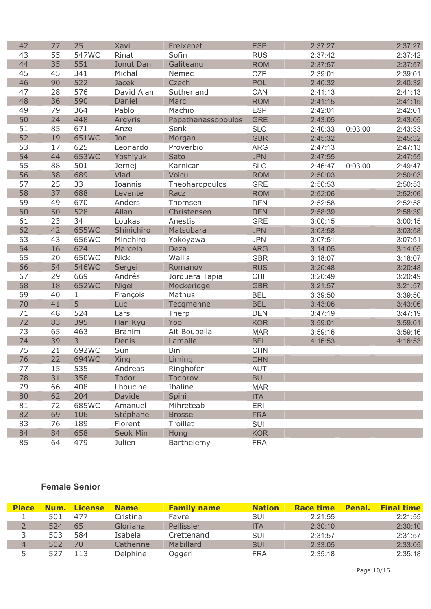| 42 | 77 | 25             | Xavi          | Freixenet          | <b>ESP</b> | 2:37:27 |         | 2:37:27 |
|----|----|----------------|---------------|--------------------|------------|---------|---------|---------|
| 43 | 55 | 547WC          | Rinat         | Sofin              | <b>RUS</b> | 2:37:42 |         | 2:37:42 |
| 44 | 35 | 551            | Ionut Dan     | Galiteanu          | <b>ROM</b> | 2:37:57 |         | 2:37:57 |
| 45 | 45 | 341            | Michal        | Nemec              | CZE        | 2:39:01 |         | 2:39:01 |
| 46 | 90 | 522            | <b>Jacek</b>  | Czech              | POL        | 2:40:32 |         | 2:40:32 |
| 47 | 28 | 576            | David Alan    | Sutherland         | CAN        | 2:41:13 |         | 2:41:13 |
| 48 | 36 | 590            | Daniel        | Marc               | <b>ROM</b> | 2:41:15 |         | 2:41:15 |
| 49 | 79 | 364            | Pablo         | Machio             | <b>ESP</b> | 2:42:01 |         | 2:42:01 |
| 50 | 24 | 448            | Argyris       | Papathanassopoulos | <b>GRE</b> | 2:43:05 |         | 2:43:05 |
| 51 | 85 | 671            | Anze          | Senk               | <b>SLO</b> | 2:40:33 | 0:03:00 | 2:43:33 |
| 52 | 19 | 651WC          | Jon           | Morgan             | <b>GBR</b> | 2:45:32 |         | 2:45:32 |
| 53 | 17 | 625            | Leonardo      | Proverbio          | <b>ARG</b> | 2:47:13 |         | 2:47:13 |
| 54 | 44 | 653WC          | Yoshiyuki     | Sato               | <b>JPN</b> | 2:47:55 |         | 2:47:55 |
| 55 | 88 | 501            | Jernej        | Karnicar           | <b>SLO</b> | 2:46:47 | 0:03:00 | 2:49:47 |
| 56 | 38 | 689            | Vlad          | Voicu              | <b>ROM</b> | 2:50:03 |         | 2:50:03 |
| 57 | 25 | 33             | Ioannis       | Theoharopoulos     | <b>GRE</b> | 2:50:53 |         | 2:50:53 |
| 58 | 37 | 688            | Levente       | Racz               | <b>ROM</b> | 2:52:06 |         | 2:52:06 |
| 59 | 49 | 670            | Anders        | Thomsen            | <b>DEN</b> | 2:52:58 |         | 2:52:58 |
| 60 | 50 | 528            | Allan         | Christensen        | <b>DEN</b> | 2:58:39 |         | 2:58:39 |
| 61 | 23 | 34             | Loukas        | Anestis            | <b>GRE</b> | 3:00:15 |         | 3:00:15 |
| 62 | 42 | 655WC          | Shinichiro    | Matsubara          | <b>JPN</b> | 3:03:58 |         | 3:03:58 |
| 63 | 43 | 656WC          | Minehiro      | Yokoyawa           | <b>JPN</b> | 3:07:51 |         | 3:07:51 |
| 64 | 16 | 624            | Marcelo       | Deza               | <b>ARG</b> | 3:14:05 |         | 3:14:05 |
| 65 | 20 | 650WC          | <b>Nick</b>   | Wallis             | <b>GBR</b> | 3:18:07 |         | 3:18:07 |
| 66 | 54 | 546WC          | Sergei        | Romanov            | <b>RUS</b> | 3:20:48 |         | 3:20:48 |
| 67 | 29 | 669            | Andrés        | Jorquera Tapia     | <b>CHI</b> | 3:20:49 |         | 3:20:49 |
| 68 | 18 | 652WC          | <b>Nigel</b>  | Mockeridge         | <b>GBR</b> | 3:21:57 |         | 3:21:57 |
| 69 | 40 | $\mathbf{1}$   | François      | Mathus             | <b>BEL</b> | 3:39:50 |         | 3:39:50 |
| 70 | 41 | 5              | Luc           | Tecqmenne          | <b>BEL</b> | 3:43:06 |         | 3:43:06 |
| 71 | 48 | 524            | Lars          | Therp              | <b>DEN</b> | 3:47:19 |         | 3:47:19 |
| 72 | 83 | 395            | Han Kyu       | Yoo                | <b>KOR</b> | 3:59:01 |         | 3:59:01 |
| 73 | 65 | 463            | <b>Brahim</b> | Ait Boubella       | <b>MAR</b> | 3:59:16 |         | 3:59:16 |
| 74 | 39 | $\overline{3}$ | Denis         | Lamalle            | <b>BEL</b> | 4:16:53 |         | 4:16:53 |
| 75 | 21 | 692WC          | Sun           | <b>Bin</b>         | <b>CHN</b> |         |         |         |
| 76 | 22 | 694WC          | Xing          | Liming             | <b>CHN</b> |         |         |         |
| 77 | 15 | 535            | Andreas       | Ringhofer          | <b>AUT</b> |         |         |         |
| 78 | 31 | 358            | Todor         | Todorov            | <b>BUL</b> |         |         |         |
| 79 | 66 | 408            | Lhoucine      | Ibaline            | <b>MAR</b> |         |         |         |
| 80 | 62 | 204            | Davide        | Spini              | <b>ITA</b> |         |         |         |
| 81 | 72 | 685WC          | Amanuel       | Mihreteab          | <b>ERI</b> |         |         |         |
| 82 | 69 | 106            | Stéphane      | <b>Brosse</b>      | <b>FRA</b> |         |         |         |
| 83 | 76 | 189            | Florent       | Troillet           | SUI        |         |         |         |
| 84 | 84 | 658            | Seok Min      | Hong               | <b>KOR</b> |         |         |         |
| 85 | 64 | 479            | Julien        | Barthelemy         | <b>FRA</b> |         |         |         |

| <b>Place</b> | Num. | License | <b>Name</b> | <b>Family name</b> | <b>Nation</b> | <b>Race time</b> | Penal. | <b>Final time</b> |
|--------------|------|---------|-------------|--------------------|---------------|------------------|--------|-------------------|
|              | 501  | 477     | Cristina    | Favre              | SUI           | 2:21:55          |        | 2:21:55           |
|              | 524  | 65      | Gloriana    | Pellissier         | ITA           | 2:30:10          |        | 2:30:10           |
|              | 503  | 584     | Isabela     | Crettenand         | <b>SUI</b>    | 2:31:57          |        | 2:31:57           |
| $\Delta$     | 502  | 70      | Catherine   | <b>Mabillard</b>   | <b>SUI</b>    | 2:33:05          |        | 2:33:05           |
|              | 527  | 13      | Delphine    | Oggeri             | FRA           | 2:35:18          |        | 2:35:18           |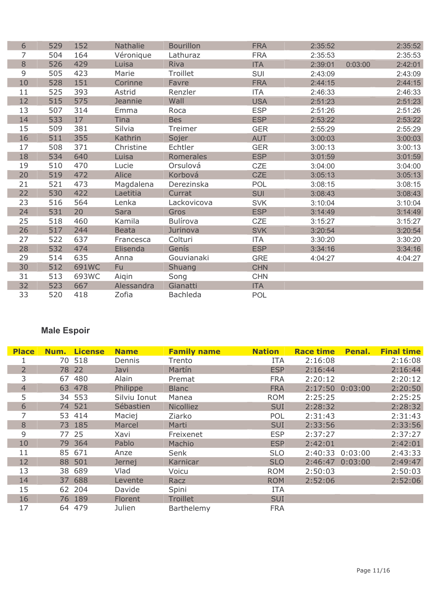| 6  | 529 | 152   | Nathalie     | <b>Bourillon</b> | <b>FRA</b> | 2:35:52 |         | 2:35:52 |
|----|-----|-------|--------------|------------------|------------|---------|---------|---------|
| 7  | 504 | 164   | Véronique    | Lathuraz         | <b>FRA</b> | 2:35:53 |         | 2:35:53 |
| 8  | 526 | 429   | Luisa        | Riva             | <b>ITA</b> | 2:39:01 | 0:03:00 | 2:42:01 |
| 9  | 505 | 423   | Marie        | Troillet         | SUI        | 2:43:09 |         | 2:43:09 |
| 10 | 528 | 151   | Corinne      | Favre            | <b>FRA</b> | 2:44:15 |         | 2:44:15 |
| 11 | 525 | 393   | Astrid       | Renzler          | <b>ITA</b> | 2:46:33 |         | 2:46:33 |
| 12 | 515 | 575   | Jeannie      | Wall             | <b>USA</b> | 2:51:23 |         | 2:51:23 |
| 13 | 507 | 314   | Emma         | Roca             | <b>ESP</b> | 2:51:26 |         | 2:51:26 |
| 14 | 533 | 17    | <b>Tina</b>  | <b>Bes</b>       | <b>ESP</b> | 2:53:22 |         | 2:53:22 |
| 15 | 509 | 381   | Silvia       | Treimer          | <b>GER</b> | 2:55:29 |         | 2:55:29 |
| 16 | 511 | 355   | Kathrin      | Sojer            | <b>AUT</b> | 3:00:03 |         | 3:00:03 |
| 17 | 508 | 371   | Christine    | Echtler          | <b>GER</b> | 3:00:13 |         | 3:00:13 |
| 18 | 534 | 640   | Luisa        | Romerales        | <b>ESP</b> | 3:01:59 |         | 3:01:59 |
| 19 | 510 | 470   | Lucie        | Orsulová         | <b>CZE</b> | 3:04:00 |         | 3:04:00 |
| 20 | 519 | 472   | Alice        | Korbová          | <b>CZE</b> | 3:05:13 |         | 3:05:13 |
| 21 | 521 | 473   | Magdalena    | Derezinska       | POL        | 3:08:15 |         | 3:08:15 |
| 22 | 530 | 422   | Laetitia     | Currat           | <b>SUI</b> | 3:08:43 |         | 3:08:43 |
| 23 | 516 | 564   | Lenka        | Lackovicova      | <b>SVK</b> | 3:10:04 |         | 3:10:04 |
| 24 | 531 | 20    | Sara         | Gros             | <b>ESP</b> | 3:14:49 |         | 3:14:49 |
| 25 | 518 | 460   | Kamila       | Bulírova         | CZE        | 3:15:27 |         | 3:15:27 |
| 26 | 517 | 244   | <b>Beata</b> | Jurinova         | <b>SVK</b> | 3:20:54 |         | 3:20:54 |
| 27 | 522 | 637   | Francesca    | Colturi          | <b>ITA</b> | 3:30:20 |         | 3:30:20 |
| 28 | 532 | 474   | Elisenda     | Genís            | <b>ESP</b> | 3:34:16 |         | 3:34:16 |
| 29 | 514 | 635   | Anna         | Gouvianaki       | <b>GRE</b> | 4:04:27 |         | 4:04:27 |
| 30 | 512 | 691WC | Fu           | Shuang           | <b>CHN</b> |         |         |         |
| 31 | 513 | 693WC | Aiqin        | Song             | <b>CHN</b> |         |         |         |
| 32 | 523 | 667   | Alessandra   | Gianatti         | <b>ITA</b> |         |         |         |
| 33 | 520 | 418   | Zofia        | <b>Bachleda</b>  | POL        |         |         |         |

## Male Espoir

| <b>Place</b>   | Num. | <b>License</b> | <b>Name</b>  | <b>Family name</b> | <b>Nation</b> | <b>Race time</b> | Penal.          | <b>Final time</b> |
|----------------|------|----------------|--------------|--------------------|---------------|------------------|-----------------|-------------------|
|                |      | 70 518         | Dennis       | Trento             | <b>ITA</b>    | 2:16:08          |                 | 2:16:08           |
| $\overline{2}$ |      | 78 22          | Javi         | Martín             | <b>ESP</b>    | 2:16:44          |                 | 2:16:44           |
| 3              | 67   | 480            | Alain        | Premat             | <b>FRA</b>    | 2:20:12          |                 | 2:20:12           |
| 4              |      | 63 478         | Philippe     | <b>Blanc</b>       | <b>FRA</b>    |                  | 2:17:50 0:03:00 | 2:20:50           |
| 5              |      | 34 553         | Silviu Ionut | Manea              | <b>ROM</b>    | 2:25:25          |                 | 2:25:25           |
| 6              |      | 74 521         | Sébastien    | <b>Nicolliez</b>   | <b>SUI</b>    | 2:28:32          |                 | 2:28:32           |
|                |      | 53 414         | Maciej       | Ziarko             | POL           | 2:31:43          |                 | 2:31:43           |
| 8              |      | 73 185         | Marcel       | Marti              | <b>SUI</b>    | 2:33:56          |                 | 2:33:56           |
| 9              |      | 77 25          | Xavi         | Freixenet          | <b>ESP</b>    | 2:37:27          |                 | 2:37:27           |
| 10             |      | 79 364         | Pablo        | Machio             | <b>ESP</b>    | 2:42:01          |                 | 2:42:01           |
| 11             |      | 85 671         | Anze         | Senk               | <b>SLO</b>    |                  | 2:40:33 0:03:00 | 2:43:33           |
| 12             |      | 88 501         | Jernej       | Karnicar           | <b>SLO</b>    |                  | 2:46:47 0:03:00 | 2:49:47           |
| 13             |      | 38 689         | Vlad         | Voicu              | <b>ROM</b>    | 2:50:03          |                 | 2:50:03           |
| 14             |      | 37 688         | Levente      | Racz               | <b>ROM</b>    | 2:52:06          |                 | 2:52:06           |
| 15             |      | 62 204         | Davide       | Spini              | <b>ITA</b>    |                  |                 |                   |
| 16             |      | 76 189         | Florent      | <b>Troillet</b>    | <b>SUI</b>    |                  |                 |                   |
| 17             |      | 64 479         | Julien       | Barthelemy         | <b>FRA</b>    |                  |                 |                   |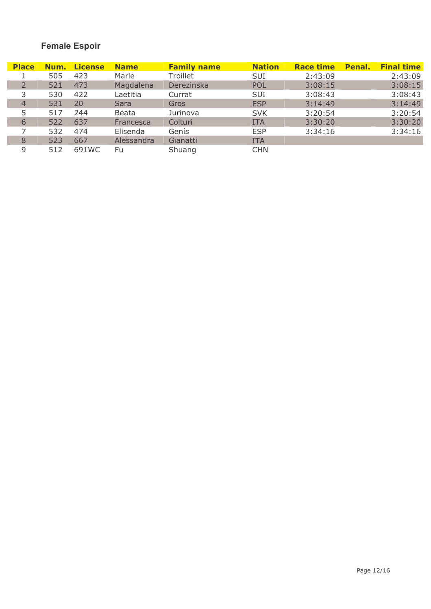## **Female Espoir**

| <b>Place</b>   | Num. | <b>License</b> | <b>Name</b> | <b>Family name</b> | <b>Nation</b> | <b>Race time</b> | Penal. | <b>Final time</b> |
|----------------|------|----------------|-------------|--------------------|---------------|------------------|--------|-------------------|
|                | 505  | 423            | Marie       | Troillet           | SUI           | 2:43:09          |        | 2:43:09           |
|                | 521  | 473            | Magdalena   | Derezinska         | <b>POL</b>    | 3:08:15          |        | 3:08:15           |
|                | 530  | 422            | Laetitia    | Currat             | <b>SUI</b>    | 3:08:43          |        | 3:08:43           |
| $\overline{4}$ | 531  | 20             | Sara        | Gros               | <b>ESP</b>    | 3:14:49          |        | 3:14:49           |
| 5              | 517  | 244            | Beata       | Jurinova           | <b>SVK</b>    | 3:20:54          |        | 3:20:54           |
| 6              | 522  | 637            | Francesca   | Colturi            | <b>ITA</b>    | 3:30:20          |        | 3:30:20           |
|                | 532  | 474            | Elisenda    | Genís              | <b>ESP</b>    | 3:34:16          |        | 3:34:16           |
| 8              | 523  | 667            | Alessandra  | Gianatti           | <b>ITA</b>    |                  |        |                   |
| 9              | 512  | 691WC          | Fu          | Shuang             | <b>CHN</b>    |                  |        |                   |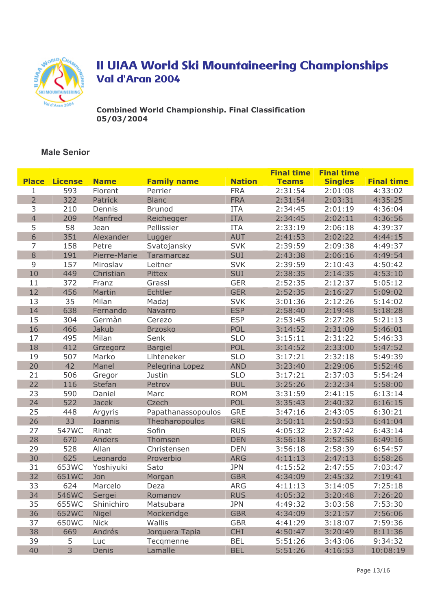

**Combined World Championship. Final Classification** 05/03/2004

|                |                |              |                    |               | <b>Final time</b> | <b>Final time</b> |                   |
|----------------|----------------|--------------|--------------------|---------------|-------------------|-------------------|-------------------|
| <b>Place</b>   | <b>License</b> | <b>Name</b>  | <b>Family name</b> | <b>Nation</b> | <b>Teams</b>      | <b>Singles</b>    | <b>Final time</b> |
| 1              | 593            | Florent      | Perrier            | <b>FRA</b>    | 2:31:54           | 2:01:08           | 4:33:02           |
| $\overline{2}$ | 322            | Patrick      | <b>Blanc</b>       | <b>FRA</b>    | 2:31:54           | 2:03:31           | 4:35:25           |
| 3              | 210            | Dennis       | <b>Brunod</b>      | <b>ITA</b>    | 2:34:45           | 2:01:19           | 4:36:04           |
| 4              | 209            | Manfred      | Reichegger         | <b>ITA</b>    | 2:34:45           | 2:02:11           | 4:36:56           |
| 5              | 58             | Jean         | Pellissier         | <b>ITA</b>    | 2:33:19           | 2:06:18           | 4:39:37           |
| 6              | 351            | Alexander    | Lugger             | <b>AUT</b>    | 2:41:53           | 2:02:22           | 4:44:15           |
| 7              | 158            | Petre        | Svatojansky        | <b>SVK</b>    | 2:39:59           | 2:09:38           | 4:49:37           |
| 8              | 191            | Pierre-Marie | Taramarcaz         | <b>SUI</b>    | 2:43:38           | 2:06:16           | 4:49:54           |
| 9              | 157            | Miroslav     | Leitner            | <b>SVK</b>    | 2:39:59           | 2:10:43           | 4:50:42           |
| 10             | 449            | Christian    | Pittex             | <b>SUI</b>    | 2:38:35           | 2:14:35           | 4:53:10           |
| 11             | 372            | Franz        | Grassl             | <b>GER</b>    | 2:52:35           | 2:12:37           | 5:05:12           |
| 12             | 456            | Martin       | Echtler            | <b>GER</b>    | 2:52:35           | 2:16:27           | 5:09:02           |
| 13             | 35             | Milan        | Madaj              | <b>SVK</b>    | 3:01:36           | 2:12:26           | 5:14:02           |
| 14             | 638            | Fernando     | Navarro            | <b>ESP</b>    | 2:58:40           | 2:19:48           | 5:18:28           |
| 15             | 304            | Germàn       | Cerezo             | <b>ESP</b>    | 2:53:45           | 2:27:28           | 5:21:13           |
| 16             | 466            | Jakub        | <b>Brzosko</b>     | <b>POL</b>    | 3:14:52           | 2:31:09           | 5:46:01           |
| 17             | 495            | Milan        | Senk               | <b>SLO</b>    | 3:15:11           | 2:31:22           | 5:46:33           |
| 18             | 412            | Grzegorz     | <b>Bargiel</b>     | POL           | 3:14:52           | 2:33:00           | 5:47:52           |
| 19             | 507            | Marko        | Lihteneker         | <b>SLO</b>    | 3:17:21           | 2:32:18           | 5:49:39           |
| 20             | 42             | Manel        | Pelegrina Lopez    | <b>AND</b>    | 3:23:40           | 2:29:06           | 5:52:46           |
| 21             | 506            | Gregor       | Justin             | <b>SLO</b>    | 3:17:21           | 2:37:03           | 5:54:24           |
| 22             | 116            | Stefan       | Petrov             | <b>BUL</b>    | 3:25:26           | 2:32:34           | 5:58:00           |
| 23             | 590            | Daniel       | Marc               | <b>ROM</b>    | 3:31:59           | 2:41:15           | 6:13:14           |
| 24             | 522            | <b>Jacek</b> | Czech              | POL           | 3:35:43           | 2:40:32           | 6:16:15           |
| 25             | 448            | Argyris      | Papathanassopoulos | <b>GRE</b>    | 3:47:16           | 2:43:05           | 6:30:21           |
| 26             | 33             | Ioannis      | Theoharopoulos     | <b>GRE</b>    | 3:50:11           | 2:50:53           | 6:41:04           |
| 27             | 547WC          | Rinat        | Sofin              | <b>RUS</b>    | 4:05:32           | 2:37:42           | 6:43:14           |
| 28             | 670            | Anders       | Thomsen            | <b>DEN</b>    | 3:56:18           | 2:52:58           | 6:49:16           |
| 29             | 528            | Allan        | Christensen        | <b>DEN</b>    | 3:56:18           | 2:58:39           | 6:54:57           |
| 30             | 625            | Leonardo     | Proverbio          | <b>ARG</b>    | 4:11:13           | 2:47:13           | 6:58:26           |
| 31             | 653WC          | Yoshiyuki    | Sato               | <b>JPN</b>    | 4:15:52           | 2:47:55           | 7:03:47           |
| 32             | 651WC          | Jon          | Morgan             | <b>GBR</b>    | 4:34:09           | 2:45:32           | 7:19:41           |
| 33             | 624            | Marcelo      | Deza               | <b>ARG</b>    | 4:11:13           | 3:14:05           | 7:25:18           |
| 34             | 546WC          | Sergei       | Romanov            | RUS           | 4:05:32           | 3:20:48           | 7:26:20           |
| 35             | 655WC          | Shinichiro   | Matsubara          | <b>JPN</b>    | 4:49:32           | 3:03:58           | 7:53:30           |
| 36             | 652WC          | Nigel        | Mockeridge         | <b>GBR</b>    | 4:34:09           | 3:21:57           | 7:56:06           |
| 37             | 650WC          | <b>Nick</b>  | Wallis             | <b>GBR</b>    | 4:41:29           | 3:18:07           | 7:59:36           |
| 38             | 669            | Andrés       | Jorquera Tapia     | <b>CHI</b>    | 4:50:47           | 3:20:49           | 8:11:36           |
| 39             | 5              | Luc          | Tecqmenne          | <b>BEL</b>    | 5:51:26           | 3:43:06           | 9:34:32           |
| 40             | 3              | Denis        | Lamalle            | <b>BEL</b>    | 5:51:26           | 4:16:53           | 10:08:19          |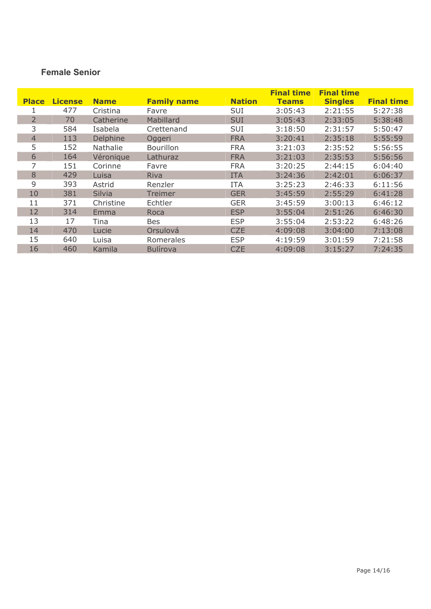| <b>Place</b>   | <b>License</b> | <b>Name</b>     | <b>Family name</b> | <b>Nation</b> | <b>Final time</b><br><b>Teams</b> | <b>Final time</b><br><b>Singles</b> | <b>Final time</b> |
|----------------|----------------|-----------------|--------------------|---------------|-----------------------------------|-------------------------------------|-------------------|
|                | 477            | Cristina        | Favre              | <b>SUI</b>    | 3:05:43                           | 2:21:55                             | 5:27:38           |
| $\overline{2}$ | 70             | Catherine       | Mabillard          | <b>SUI</b>    | 3:05:43                           | 2:33:05                             | 5:38:48           |
| 3              | 584            | Isabela         | Crettenand         | <b>SUI</b>    | 3:18:50                           | 2:31:57                             | 5:50:47           |
| 4              | 113            | Delphine        | Oggeri             | <b>FRA</b>    | 3:20:41                           | 2:35:18                             | 5:55:59           |
| 5              | 152            | <b>Nathalie</b> | <b>Bourillon</b>   | <b>FRA</b>    | 3:21:03                           | 2:35:52                             | 5:56:55           |
| 6              | 164            | Véronique       | Lathuraz           | <b>FRA</b>    | 3:21:03                           | 2:35:53                             | 5:56:56           |
|                | 151            | Corinne         | Favre              | <b>FRA</b>    | 3:20:25                           | 2:44:15                             | 6:04:40           |
| 8              | 429            | Luisa           | Riva               | <b>ITA</b>    | 3:24:36                           | 2:42:01                             | 6:06:37           |
| 9              | 393            | Astrid          | Renzler            | <b>ITA</b>    | 3:25:23                           | 2:46:33                             | 6:11:56           |
| 10             | 381            | <b>Silvia</b>   | Treimer            | <b>GER</b>    | 3:45:59                           | 2:55:29                             | 6:41:28           |
| 11             | 371            | Christine       | Echtler            | <b>GER</b>    | 3:45:59                           | 3:00:13                             | 6:46:12           |
| 12             | 314            | Emma            | Roca               | <b>ESP</b>    | 3:55:04                           | 2:51:26                             | 6:46:30           |
| 13             | 17             | Tina            | <b>Bes</b>         | <b>ESP</b>    | 3:55:04                           | 2:53:22                             | 6:48:26           |
| 14             | 470            | Lucie           | Orsulová           | <b>CZE</b>    | 4:09:08                           | 3:04:00                             | 7:13:08           |
| 15             | 640            | Luisa           | Romerales          | <b>ESP</b>    | 4:19:59                           | 3:01:59                             | 7:21:58           |
| 16             | 460            | Kamila          | <b>Bulírova</b>    | <b>CZE</b>    | 4:09:08                           | 3:15:27                             | 7:24:35           |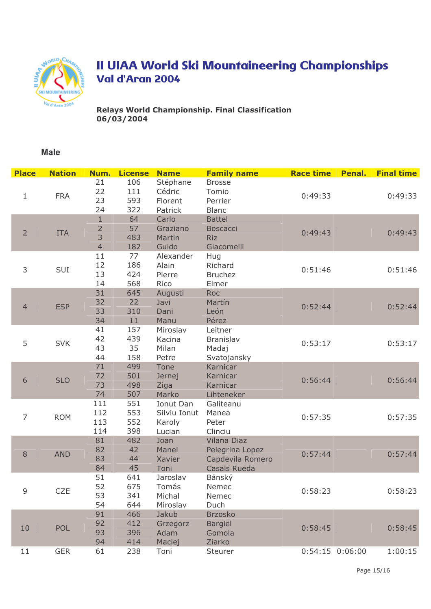

Relays World Championship. Final Classification  $06/03/2004$ 

#### **Male**

|  | <b>Place</b>   | <b>Nation</b> | Num.           | <b>License</b> | <b>Name</b>    | <b>Family name</b>  | <b>Race time</b> | Penal.          | <b>Final time</b> |
|--|----------------|---------------|----------------|----------------|----------------|---------------------|------------------|-----------------|-------------------|
|  |                |               | 21             | 106            | Stéphane       | <b>Brosse</b>       |                  |                 |                   |
|  | $\mathbf{1}$   | <b>FRA</b>    | 22             | 111            | Cédric         | Tomio               | 0:49:33          |                 | 0:49:33           |
|  |                |               | 23             | 593            | Florent        | Perrier             |                  |                 |                   |
|  |                |               | 24             | 322            | Patrick        | <b>Blanc</b>        |                  |                 |                   |
|  |                |               | $\mathbf{1}$   | 64             | Carlo          | <b>Battel</b>       |                  |                 |                   |
|  | $\overline{2}$ | <b>ITA</b>    | $\overline{2}$ | 57             | Graziano       | <b>Boscacci</b>     | 0:49:43          |                 | 0:49:43           |
|  |                |               | 3              | 483            | Martin         | <b>Riz</b>          |                  |                 |                   |
|  |                |               | $\overline{4}$ | 182            | Guido          | Giacomelli          |                  |                 |                   |
|  |                | SUI           | 11             | 77             | Alexander      | Hug                 | 0:51:46          |                 |                   |
|  | 3              |               | 12             | 186            | Alain          | Richard             |                  |                 | 0:51:46           |
|  |                |               | 13             | 424            | Pierre         | <b>Bruchez</b>      |                  |                 |                   |
|  |                |               | 14             | 568            | Rico           | Elmer               |                  |                 |                   |
|  |                |               | 31             | 645<br>22      | Augusti        | Roc                 | 0:52:44          |                 |                   |
|  | $\overline{4}$ | <b>ESP</b>    | 32<br>33       | 310            | Javi<br>Dani   | Martín<br>León      |                  |                 | 0:52:44           |
|  |                |               | 34             | 11             | Manu           | Pérez               |                  |                 |                   |
|  |                |               | 41             | 157            | Miroslav       | Leitner             |                  |                 |                   |
|  |                |               | 42             | 439            | Kacina         | Branislav           | 0:53:17          |                 |                   |
|  | 5              | <b>SVK</b>    | 43             | 35             | Milan          | Madaj               |                  |                 | 0:53:17           |
|  |                |               | 44             | 158            | Petre          | Svatojansky         |                  |                 |                   |
|  |                |               | 71             | 499            | Tone           | Karnicar            | 0:56:44          |                 |                   |
|  | 6              | <b>SLO</b>    | 72             | 501            | Jernej         | Karnicar            |                  |                 |                   |
|  |                |               | 73             | 498            | Ziga           | Karnicar            |                  |                 | 0:56:44           |
|  |                |               | 74             | 507            | Marko          | Lihteneker          |                  |                 |                   |
|  |                |               | 111            | 551            | Ionut Dan      | Galiteanu           | 0:57:35          |                 |                   |
|  | 7              | <b>ROM</b>    | 112            | 553            | Silviu Ionut   | Manea               |                  |                 | 0:57:35           |
|  |                |               | 113            | 552            | Karoly         | Peter               |                  |                 |                   |
|  |                |               | 114            | 398            | Lucian         | Clinciu             |                  |                 |                   |
|  |                |               | 81             | 482            | Joan           | Vilana Diaz         | 0:57:44          |                 |                   |
|  | 8              | <b>AND</b>    | 82             | 42             | Manel          | Pelegrina Lopez     |                  |                 | 0:57:44           |
|  |                |               | 83             | 44             | Xavier         | Capdevila Romero    |                  |                 |                   |
|  |                |               | 84             | 45             | Toni           | <b>Casals Rueda</b> |                  |                 |                   |
|  |                |               | 51             | 641            | Jaroslav       | Bánský              |                  |                 |                   |
|  | 9              | CZE           | 52             | 675            | Tomás          | Nemec               | 0:58:23          |                 | 0:58:23           |
|  |                |               | 53             | 341            | Michal         | Nemec               |                  |                 |                   |
|  |                |               | 54             | 644            | Miroslav       | Duch                |                  |                 |                   |
|  |                | <b>POL</b>    | 91             | 466            | Jakub          | <b>Brzosko</b>      |                  |                 |                   |
|  | 10             |               | 92             | 412            | Grzegorz       | <b>Bargiel</b>      | 0:58:45          |                 | 0:58:45           |
|  |                |               | 93<br>94       | 396            | Adam           | Gomola              |                  |                 |                   |
|  | 11             | <b>GER</b>    | 61             | 414<br>238     | Maciej<br>Toni | Ziarko<br>Steurer   |                  | 0:54:15 0:06:00 | 1:00:15           |
|  |                |               |                |                |                |                     |                  |                 |                   |